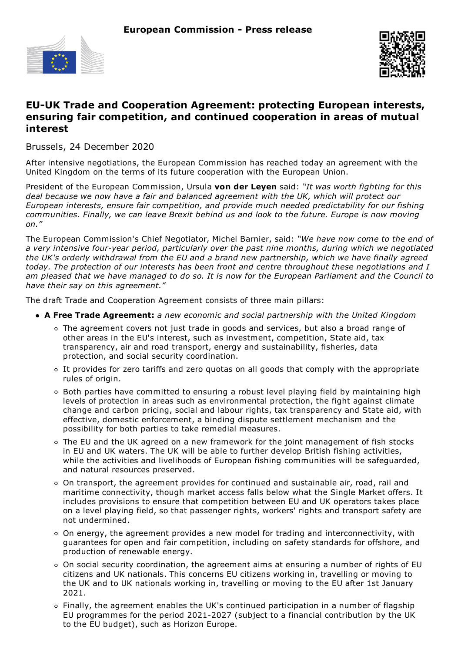



# **EU-UK Trade and Cooperation Agreement: protecting European interests, ensuring fair competition, and continued cooperation in areas of mutual interest**

Brussels, 24 December 2020

After intensive negotiations, the European Commission has reached today an agreement with the United Kingdom on the terms of its future cooperation with the European Union.

President of the European Commission, Ursula **von der Leyen** said: *"It was worth fighting for this deal because we now have a fair and balanced agreement with the UK, which will protect our European interests, ensure fair competition, and provide much needed predictability for our fishing communities. Finally, we can leave Brexit behind us and look to the future. Europe is now moving on."*

The European Commission's Chief Negotiator, Michel Barnier, said: *"We have now come to the end of a very intensive four-year period, particularly over the past nine months, during which we negotiated the UK's orderly withdrawal from the EU and a brand new partnership, which we have finally agreed today. The protection of our interests has been front and centre throughout these negotiations and I* am pleased that we have managed to do so. It is now for the European Parliament and the Council to *have their say on this agreement."*

The draft Trade and Cooperation Agreement consists of three main pillars:

- **A Free Trade Agreement:** *a new economic and social partnership with the United Kingdom*
	- The agreement covers not just trade in goods and services, but also a broad range of other areas in the EU's interest, such as investment, competition, State aid, tax transparency, air and road transport, energy and sustainability, fisheries, data protection, and social security coordination.
	- It provides for zero tariffs and zero quotas on all goods that comply with the appropriate rules of origin.
	- Both parties have committed to ensuring a robust level playing field by maintaining high levels of protection in areas such as environmental protection, the fight against climate change and carbon pricing, social and labour rights, tax transparency and State aid, with effective, domestic enforcement, a binding dispute settlement mechanism and the possibility for both parties to take remedial measures.
	- The EU and the UK agreed on a new framework for the joint management of fish stocks in EU and UK waters. The UK will be able to further develop British fishing activities, while the activities and livelihoods of European fishing communities will be safeguarded, and natural resources preserved.
	- On transport, the agreement provides for continued and sustainable air, road, rail and maritime connectivity, though market access falls below what the Single Market offers. It includes provisions to ensure that competition between EU and UK operators takes place on a level playing field, so that passenger rights, workers' rights and transport safety are not undermined.
	- $\circ$  On energy, the agreement provides a new model for trading and interconnectivity, with guarantees for open and fair competition, including on safety standards for offshore, and production of renewable energy.
	- On social security coordination, the agreement aims at ensuring a number of rights of EU citizens and UK nationals. This concerns EU citizens working in, travelling or moving to the UK and to UK nationals working in, travelling or moving to the EU after 1st January 2021.
	- Finally, the agreement enables the UK's continued participation in a number of flagship EU programmes for the period 2021-2027 (subject to a financial contribution by the UK to the EU budget), such as Horizon Europe.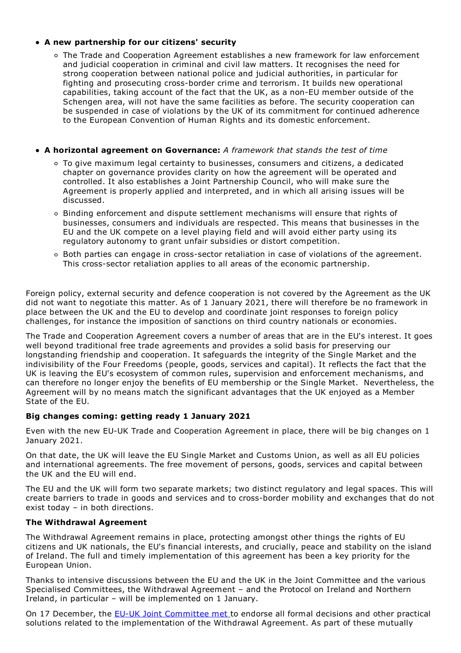## **A new partnership for our citizens' security**

The Trade and Cooperation Agreement establishes a new framework for law enforcement and judicial cooperation in criminal and civil law matters. It recognises the need for strong cooperation between national police and judicial authorities, in particular for fighting and prosecuting cross-border crime and terrorism. It builds new operational capabilities, taking account of the fact that the UK, as a non-EU member outside of the Schengen area, will not have the same facilities as before. The security cooperation can be suspended in case of violations by the UK of its commitment for continued adherence to the European Convention of Human Rights and its domestic enforcement.

## **A horizontal agreement on Governance:** *A framework that stands the test of time*

- To give maximum legal certainty to businesses, consumers and citizens, a dedicated chapter on governance provides clarity on how the agreement will be operated and controlled. It also establishes a Joint Partnership Council, who will make sure the Agreement is properly applied and interpreted, and in which all arising issues will be discussed.
- $\circ$  Binding enforcement and dispute settlement mechanisms will ensure that rights of businesses, consumers and individuals are respected. This means that businesses in the EU and the UK compete on a level playing field and will avoid either party using its regulatory autonomy to grant unfair subsidies or distort competition.
- Both parties can engage in cross-sector retaliation in case of violations of the agreement. This cross-sector retaliation applies to all areas of the economic partnership.

Foreign policy, external security and defence cooperation is not covered by the Agreement as the UK did not want to negotiate this matter. As of 1 January 2021, there will therefore be no framework in place between the UK and the EU to develop and coordinate joint responses to foreign policy challenges, for instance the imposition of sanctions on third country nationals or economies.

The Trade and Cooperation Agreement covers a number of areas that are in the EU's interest. It goes well beyond traditional free trade agreements and provides a solid basis for preserving our longstanding friendship and cooperation. It safeguards the integrity of the Single Market and the indivisibility of the Four Freedoms (people, goods, services and capital). It reflects the fact that the UK is leaving the EU's ecosystem of common rules, supervision and enforcement mechanisms, and can therefore no longer enjoy the benefits of EU membership or the Single Market. Nevertheless, the Agreement will by no means match the significant advantages that the UK enjoyed as a Member State of the EU.

## **Big changes coming: getting ready 1 January 2021**

Even with the new EU-UK Trade and Cooperation Agreement in place, there will be big changes on 1 January 2021.

On that date, the UK will leave the EU Single Market and Customs Union, as well as all EU policies and international agreements. The free movement of persons, goods, services and capital between the UK and the EU will end.

The EU and the UK will form two separate markets; two distinct regulatory and legal spaces. This will create barriers to trade in goods and services and to cross-border mobility and exchanges that do not exist today – in both directions.

## **The Withdrawal Agreement**

The Withdrawal Agreement remains in place, protecting amongst other things the rights of EU citizens and UK nationals, the EU's financial interests, and crucially, peace and stability on the island of Ireland. The full and timely implementation of this agreement has been a key priority for the European Union.

Thanks to intensive discussions between the EU and the UK in the Joint Committee and the various Specialised Committees, the Withdrawal Agreement – and the Protocol on Ireland and Northern Ireland, in particular – will be implemented on 1 January.

On 17 December, the EU-UK Joint [Committee](https://ec.europa.eu/commission/presscorner/detail/en/ip_20_2478) met to endorse all formal decisions and other practical solutions related to the implementation of the Withdrawal Agreement. As part of these mutually